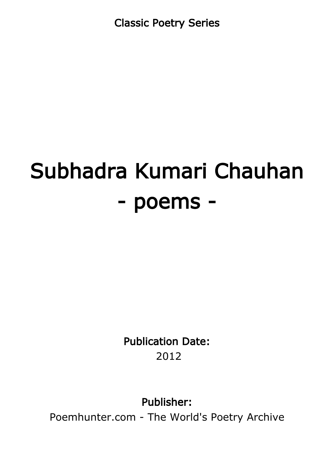Classic Poetry Series

# Subhadra Kumari Chauhan - poems -

Publication Date: 2012

Publisher:

Poemhunter.com - The World's Poetry Archive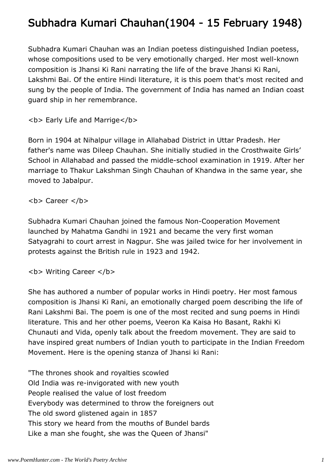# Subhadra Kumari Chauhan(1904 - 15 February 1948)

Subhadra Kumari Chauhan was an Indian poetess distinguished Indian poetess, whose compositions used to be very emotionally charged. Her most well-known composition is Jhansi Ki Rani narrating the life of the brave Jhansi Ki Rani, Lakshmi Bai. Of the entire Hindi literature, it is this poem that's most recited and sung by the people of India. The government of India has named an Indian coast guard ship in her remembrance.

**<b> Early Life and Marrige</b>** 

Born in 1904 at Nihalpur village in Allahabad District in Uttar Pradesh. Her father's name was Dileep Chauhan. She initially studied in the Crosthwaite Girls' School in Allahabad and passed the middle-school examination in 1919. After her marriage to Thakur Lakshman Singh Chauhan of Khandwa in the same year, she moved to Jabalpur.

<b> Career </b>

Subhadra Kumari Chauhan joined the famous Non-Cooperation Movement launched by Mahatma Gandhi in 1921 and became the very first woman Satyagrahi to court arrest in Nagpur. She was jailed twice for her involvement in protests against the British rule in 1923 and 1942.

**<b> Writing Career </b>** 

She has authored a number of popular works in Hindi poetry. Her most famous composition is Jhansi Ki Rani, an emotionally charged poem describing the life of Rani Lakshmi Bai. The poem is one of the most recited and sung poems in Hindi literature. This and her other poems, Veeron Ka Kaisa Ho Basant, Rakhi Ki Chunauti and Vida, openly talk about the freedom movement. They are said to have inspired great numbers of Indian youth to participate in the Indian Freedom Movement. Here is the opening stanza of Jhansi ki Rani:

"The thrones shook and royalties scowled Old India was re-invigorated with new youth People realised the value of lost freedom Everybody was determined to throw the foreigners out The old sword glistened again in 1857 This story we heard from the mouths of Bundel bards Like a man she fought, she was the Queen of Jhansi"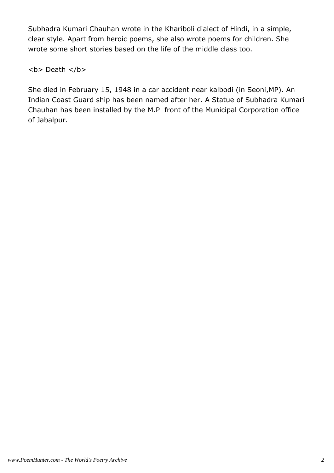Subhadra Kumari Chauhan wrote in the Khariboli dialect of Hindi, in a simple, clear style. Apart from heroic poems, she also wrote poems for children. She wrote some short stories based on the life of the middle class too.

<b> Death </b>

She died in February 15, 1948 in a car accident near kalbodi (in Seoni,MP). An Indian Coast Guard ship has been named after her. A Statue of Subhadra Kumari Chauhan has been installed by the M.P front of the Municipal Corporation office of Jabalpur.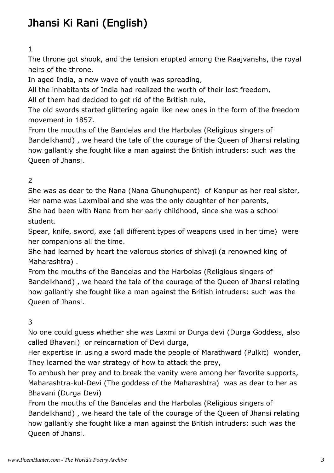# Jhansi Ki Rani (English)

#### 1

The throne got shook, and the tension erupted among the Raajvanshs, the royal heirs of the throne,

In aged India, a new wave of youth was spreading,

All the inhabitants of India had realized the worth of their lost freedom,

All of them had decided to get rid of the British rule,

The old swords started glittering again like new ones in the form of the freedom movement in 1857.

From the mouths of the Bandelas and the Harbolas (Religious singers of Bandelkhand) , we heard the tale of the courage of the Queen of Jhansi relating how gallantly she fought like a man against the British intruders: such was the Queen of Jhansi.

# 2

She was as dear to the Nana (Nana Ghunghupant) of Kanpur as her real sister, Her name was Laxmibai and she was the only daughter of her parents,

She had been with Nana from her early childhood, since she was a school student.

Spear, knife, sword, axe (all different types of weapons used in her time) were her companions all the time.

She had learned by heart the valorous stories of shivaji (a renowned king of Maharashtra) .

From the mouths of the Bandelas and the Harbolas (Religious singers of Bandelkhand) , we heard the tale of the courage of the Queen of Jhansi relating how gallantly she fought like a man against the British intruders: such was the Queen of Jhansi.

## 3

No one could guess whether she was Laxmi or Durga devi (Durga Goddess, also called Bhavani) or reincarnation of Devi durga,

Her expertise in using a sword made the people of Marathward (Pulkit) wonder, They learned the war strategy of how to attack the prey,

To ambush her prey and to break the vanity were among her favorite supports, Maharashtra-kul-Devi (The goddess of the Maharashtra) was as dear to her as Bhavani (Durga Devi)

From the mouths of the Bandelas and the Harbolas (Religious singers of Bandelkhand) , we heard the tale of the courage of the Queen of Jhansi relating how gallantly she fought like a man against the British intruders: such was the Queen of Jhansi.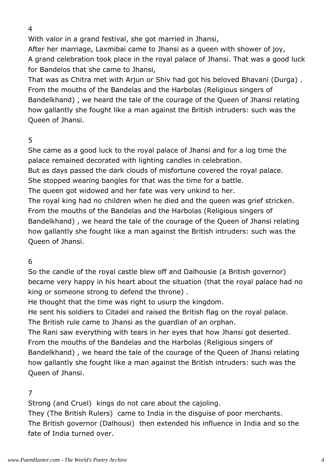4

With valor in a grand festival, she got married in Jhansi,

After her marriage, Laxmibai came to Jhansi as a queen with shower of joy, A grand celebration took place in the royal palace of Jhansi. That was a good luck for Bandelos that she came to Jhansi,

That was as Chitra met with Arjun or Shiv had got his beloved Bhavani (Durga) . From the mouths of the Bandelas and the Harbolas (Religious singers of Bandelkhand) , we heard the tale of the courage of the Queen of Jhansi relating how gallantly she fought like a man against the British intruders: such was the Queen of Jhansi.

#### 5

She came as a good luck to the royal palace of Jhansi and for a log time the palace remained decorated with lighting candles in celebration.

But as days passed the dark clouds of misfortune covered the royal palace.

She stopped wearing bangles for that was the time for a battle.

The queen got widowed and her fate was very unkind to her.

The royal king had no children when he died and the queen was grief stricken. From the mouths of the Bandelas and the Harbolas (Religious singers of Bandelkhand) , we heard the tale of the courage of the Queen of Jhansi relating how gallantly she fought like a man against the British intruders: such was the Queen of Jhansi.

## 6

So the candle of the royal castle blew off and Dalhousie (a British governor) became very happy in his heart about the situation (that the royal palace had no king or someone strong to defend the throne) .

He thought that the time was right to usurp the kingdom.

He sent his soldiers to Citadel and raised the British flag on the royal palace. The British rule came to Jhansi as the guardian of an orphan.

The Rani saw everything with tears in her eyes that how Jhansi got deserted. From the mouths of the Bandelas and the Harbolas (Religious singers of Bandelkhand) , we heard the tale of the courage of the Queen of Jhansi relating how gallantly she fought like a man against the British intruders: such was the Queen of Jhansi.

## 7

Strong (and Cruel) kings do not care about the cajoling.

They (The British Rulers) came to India in the disguise of poor merchants. The British governor (Dalhousi) then extended his influence in India and so the fate of India turned over.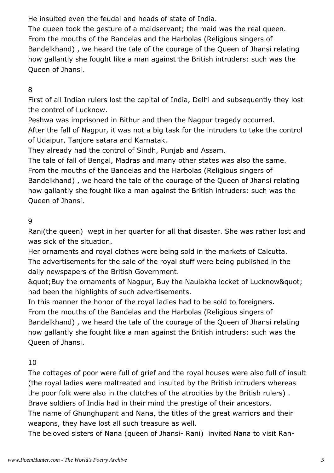He insulted even the feudal and heads of state of India.

The queen took the gesture of a maidservant; the maid was the real queen. From the mouths of the Bandelas and the Harbolas (Religious singers of Bandelkhand) , we heard the tale of the courage of the Queen of Jhansi relating how gallantly she fought like a man against the British intruders: such was the Queen of Jhansi.

## 8

First of all Indian rulers lost the capital of India, Delhi and subsequently they lost the control of Lucknow.

Peshwa was imprisoned in Bithur and then the Nagpur tragedy occurred. After the fall of Nagpur, it was not a big task for the intruders to take the control of Udaipur, Tanjore satara and Karnatak.

They already had the control of Sindh, Punjab and Assam.

The tale of fall of Bengal, Madras and many other states was also the same. From the mouths of the Bandelas and the Harbolas (Religious singers of Bandelkhand) , we heard the tale of the courage of the Queen of Jhansi relating how gallantly she fought like a man against the British intruders: such was the Queen of Jhansi.

## 9

Rani(the queen) wept in her quarter for all that disaster. She was rather lost and was sick of the situation.

Her ornaments and royal clothes were being sold in the markets of Calcutta. The advertisements for the sale of the royal stuff were being published in the daily newspapers of the British Government.

& auot; Buy the ornaments of Nagpur, Buy the Naulakha locket of Lucknow & quot; had been the highlights of such advertisements.

In this manner the honor of the royal ladies had to be sold to foreigners. From the mouths of the Bandelas and the Harbolas (Religious singers of Bandelkhand) , we heard the tale of the courage of the Queen of Jhansi relating how gallantly she fought like a man against the British intruders: such was the Queen of Jhansi.

## 10

The cottages of poor were full of grief and the royal houses were also full of insult (the royal ladies were maltreated and insulted by the British intruders whereas the poor folk were also in the clutches of the atrocities by the British rulers) . Brave soldiers of India had in their mind the prestige of their ancestors.

The name of Ghunghupant and Nana, the titles of the great warriors and their weapons, they have lost all such treasure as well.

The beloved sisters of Nana (queen of Jhansi- Rani) invited Nana to visit Ran-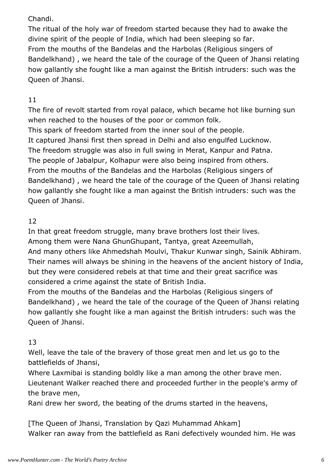#### Chandi.

The ritual of the holy war of freedom started because they had to awake the divine spirit of the people of India, which had been sleeping so far. From the mouths of the Bandelas and the Harbolas (Religious singers of Bandelkhand) , we heard the tale of the courage of the Queen of Jhansi relating how gallantly she fought like a man against the British intruders: such was the Queen of Jhansi.

# 11

The fire of revolt started from royal palace, which became hot like burning sun when reached to the houses of the poor or common folk. This spark of freedom started from the inner soul of the people. It captured Jhansi first then spread in Delhi and also engulfed Lucknow. The freedom struggle was also in full swing in Merat, Kanpur and Patna. The people of Jabalpur, Kolhapur were also being inspired from others. From the mouths of the Bandelas and the Harbolas (Religious singers of Bandelkhand) , we heard the tale of the courage of the Queen of Jhansi relating how gallantly she fought like a man against the British intruders: such was the Queen of Jhansi.

## 12

In that great freedom struggle, many brave brothers lost their lives. Among them were Nana GhunGhupant, Tantya, great Azeemullah, And many others like Ahmedshah Moulvi, Thakur Kunwar singh, Sainik Abhiram. Their names will always be shining in the heavens of the ancient history of India,

but they were considered rebels at that time and their great sacrifice was considered a crime against the state of British India.

From the mouths of the Bandelas and the Harbolas (Religious singers of Bandelkhand) , we heard the tale of the courage of the Queen of Jhansi relating how gallantly she fought like a man against the British intruders: such was the Queen of Jhansi.

# 13

Well, leave the tale of the bravery of those great men and let us go to the battlefields of Jhansi,

Where Laxmibai is standing boldly like a man among the other brave men. Lieutenant Walker reached there and proceeded further in the people's army of the brave men,

Rani drew her sword, the beating of the drums started in the heavens,

[The Queen of Jhansi, Translation by Qazi Muhammad Ahkam] Walker ran away from the battlefield as Rani defectively wounded him. He was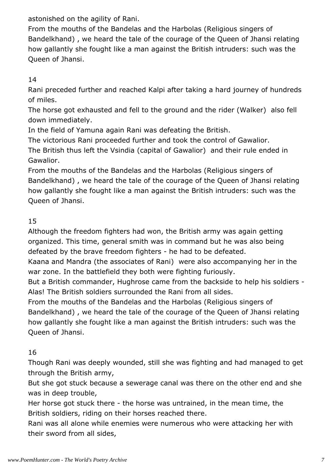astonished on the agility of Rani.

From the mouths of the Bandelas and the Harbolas (Religious singers of Bandelkhand) , we heard the tale of the courage of the Queen of Jhansi relating how gallantly she fought like a man against the British intruders: such was the Queen of Jhansi.

14

Rani preceded further and reached Kalpi after taking a hard journey of hundreds of miles.

The horse got exhausted and fell to the ground and the rider (Walker) also fell down immediately.

In the field of Yamuna again Rani was defeating the British.

The victorious Rani proceeded further and took the control of Gawalior.

The British thus left the Vsindia (capital of Gawalior) and their rule ended in Gawalior.

From the mouths of the Bandelas and the Harbolas (Religious singers of Bandelkhand) , we heard the tale of the courage of the Queen of Jhansi relating how gallantly she fought like a man against the British intruders: such was the Queen of Jhansi.

# 15

Although the freedom fighters had won, the British army was again getting organized. This time, general smith was in command but he was also being defeated by the brave freedom fighters - he had to be defeated.

Kaana and Mandra (the associates of Rani) were also accompanying her in the war zone. In the battlefield they both were fighting furiously.

But a British commander, Hughrose came from the backside to help his soldiers - Alas! The British soldiers surrounded the Rani from all sides.

From the mouths of the Bandelas and the Harbolas (Religious singers of Bandelkhand) , we heard the tale of the courage of the Queen of Jhansi relating how gallantly she fought like a man against the British intruders: such was the Queen of Jhansi.

# 16

Though Rani was deeply wounded, still she was fighting and had managed to get through the British army,

But she got stuck because a sewerage canal was there on the other end and she was in deep trouble,

Her horse got stuck there - the horse was untrained, in the mean time, the British soldiers, riding on their horses reached there.

Rani was all alone while enemies were numerous who were attacking her with their sword from all sides,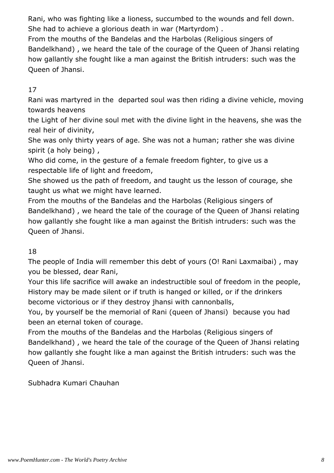Rani, who was fighting like a lioness, succumbed to the wounds and fell down. She had to achieve a glorious death in war (Martyrdom) .

From the mouths of the Bandelas and the Harbolas (Religious singers of Bandelkhand) , we heard the tale of the courage of the Queen of Jhansi relating how gallantly she fought like a man against the British intruders: such was the Queen of Jhansi.

# 17

Rani was martyred in the departed soul was then riding a divine vehicle, moving towards heavens

the Light of her divine soul met with the divine light in the heavens, she was the real heir of divinity,

She was only thirty years of age. She was not a human; rather she was divine spirit (a holy being) ,

Who did come, in the gesture of a female freedom fighter, to give us a respectable life of light and freedom,

She showed us the path of freedom, and taught us the lesson of courage, she taught us what we might have learned.

From the mouths of the Bandelas and the Harbolas (Religious singers of Bandelkhand) , we heard the tale of the courage of the Queen of Jhansi relating how gallantly she fought like a man against the British intruders: such was the Queen of Jhansi.

## 18

The people of India will remember this debt of yours (O! Rani Laxmaibai) , may you be blessed, dear Rani,

Your this life sacrifice will awake an indestructible soul of freedom in the people, History may be made silent or if truth is hanged or killed, or if the drinkers become victorious or if they destroy jhansi with cannonballs,

You, by yourself be the memorial of Rani (queen of Jhansi) because you had been an eternal token of courage.

From the mouths of the Bandelas and the Harbolas (Religious singers of Bandelkhand) , we heard the tale of the courage of the Queen of Jhansi relating how gallantly she fought like a man against the British intruders: such was the Queen of Jhansi.

Subhadra Kumari Chauhan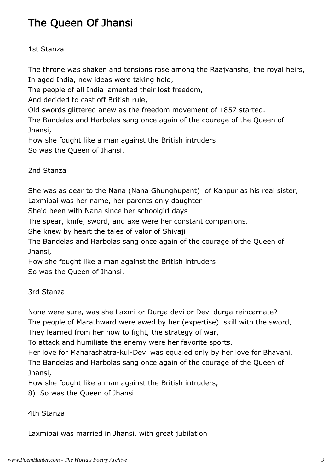# The Queen Of Jhansi

#### 1st Stanza

The throne was shaken and tensions rose among the Raajvanshs, the royal heirs, In aged India, new ideas were taking hold,

The people of all India lamented their lost freedom,

And decided to cast off British rule,

Old swords glittered anew as the freedom movement of 1857 started.

The Bandelas and Harbolas sang once again of the courage of the Queen of Jhansi,

How she fought like a man against the British intruders So was the Queen of Jhansi.

2nd Stanza

She was as dear to the Nana (Nana Ghunghupant) of Kanpur as his real sister, Laxmibai was her name, her parents only daughter

She'd been with Nana since her schoolgirl days

The spear, knife, sword, and axe were her constant companions.

She knew by heart the tales of valor of Shivaji

The Bandelas and Harbolas sang once again of the courage of the Queen of Jhansi,

How she fought like a man against the British intruders

So was the Queen of Jhansi.

3rd Stanza

None were sure, was she Laxmi or Durga devi or Devi durga reincarnate?

The people of Marathward were awed by her (expertise) skill with the sword, They learned from her how to fight, the strategy of war,

To attack and humiliate the enemy were her favorite sports.

Her love for Maharashatra-kul-Devi was equaled only by her love for Bhavani. The Bandelas and Harbolas sang once again of the courage of the Queen of

Jhansi,

How she fought like a man against the British intruders,

8) So was the Queen of Jhansi.

#### 4th Stanza

Laxmibai was married in Jhansi, with great jubilation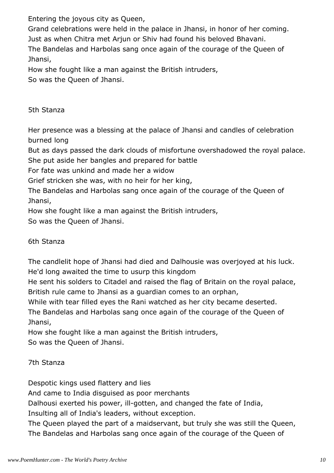Entering the joyous city as Queen,

Grand celebrations were held in the palace in Jhansi, in honor of her coming.

Just as when Chitra met Arjun or Shiv had found his beloved Bhavani.

The Bandelas and Harbolas sang once again of the courage of the Queen of Jhansi,

How she fought like a man against the British intruders,

So was the Queen of Jhansi.

5th Stanza

Her presence was a blessing at the palace of Jhansi and candles of celebration burned long

But as days passed the dark clouds of misfortune overshadowed the royal palace.

She put aside her bangles and prepared for battle

For fate was unkind and made her a widow

Grief stricken she was, with no heir for her king,

The Bandelas and Harbolas sang once again of the courage of the Queen of Jhansi,

How she fought like a man against the British intruders,

So was the Queen of Jhansi.

6th Stanza

The candlelit hope of Jhansi had died and Dalhousie was overjoyed at his luck. He'd long awaited the time to usurp this kingdom

He sent his solders to Citadel and raised the flag of Britain on the royal palace, British rule came to Jhansi as a guardian comes to an orphan,

While with tear filled eyes the Rani watched as her city became deserted.

The Bandelas and Harbolas sang once again of the courage of the Queen of Jhansi,

How she fought like a man against the British intruders, So was the Queen of Jhansi.

7th Stanza

Despotic kings used flattery and lies

And came to India disguised as poor merchants

Dalhousi exerted his power, ill-gotten, and changed the fate of India,

Insulting all of India's leaders, without exception.

The Queen played the part of a maidservant, but truly she was still the Queen, The Bandelas and Harbolas sang once again of the courage of the Queen of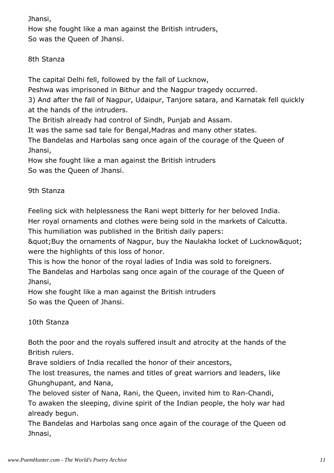Jhansi,

How she fought like a man against the British intruders, So was the Queen of Jhansi.

8th Stanza

The capital Delhi fell, followed by the fall of Lucknow,

Peshwa was imprisoned in Bithur and the Nagpur tragedy occurred.

3) And after the fall of Nagpur, Udaipur, Tanjore satara, and Karnatak fell quickly at the hands of the intruders.

The British already had control of Sindh, Punjab and Assam.

It was the same sad tale for Bengal,Madras and many other states.

The Bandelas and Harbolas sang once again of the courage of the Queen of Jhansi,

How she fought like a man against the British intruders So was the Queen of Jhansi.

9th Stanza

Feeling sick with helplessness the Rani wept bitterly for her beloved India. Her royal ornaments and clothes were being sold in the markets of Calcutta.

This humiliation was published in the British daily papers:

& auot; Buy the ornaments of Nagpur, buy the Naulakha locket of Lucknow & quot; were the highlights of this loss of honor.

This is how the honor of the royal ladies of India was sold to foreigners. The Bandelas and Harbolas sang once again of the courage of the Queen of Jhansi,

How she fought like a man against the British intruders So was the Queen of Jhansi.

10th Stanza

Both the poor and the royals suffered insult and atrocity at the hands of the British rulers.

Brave soldiers of India recalled the honor of their ancestors,

The lost treasures, the names and titles of great warriors and leaders, like Ghunghupant, and Nana,

The beloved sister of Nana, Rani, the Queen, invited him to Ran-Chandi, To awaken the sleeping, divine spirit of the Indian people, the holy war had already begun.

The Bandelas and Harbolas sang once again of the courage of the Queen od Jhnasi,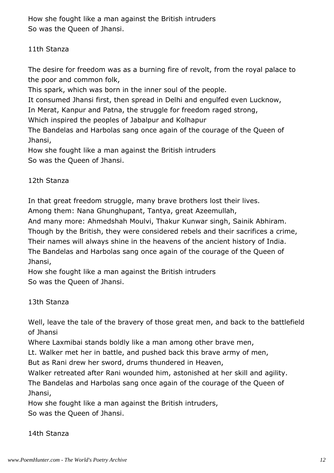How she fought like a man against the British intruders So was the Queen of Jhansi.

#### 11th Stanza

The desire for freedom was as a burning fire of revolt, from the royal palace to the poor and common folk,

This spark, which was born in the inner soul of the people.

It consumed Jhansi first, then spread in Delhi and engulfed even Lucknow,

In Merat, Kanpur and Patna, the struggle for freedom raged strong,

Which inspired the peoples of Jabalpur and Kolhapur

The Bandelas and Harbolas sang once again of the courage of the Queen of Jhansi,

How she fought like a man against the British intruders So was the Queen of Jhansi.

# 12th Stanza

In that great freedom struggle, many brave brothers lost their lives.

Among them: Nana Ghunghupant, Tantya, great Azeemullah,

And many more: Ahmedshah Moulvi, Thakur Kunwar singh, Sainik Abhiram.

Though by the British, they were considered rebels and their sacrifices a crime,

Their names will always shine in the heavens of the ancient history of India.

The Bandelas and Harbolas sang once again of the courage of the Queen of Jhansi,

How she fought like a man against the British intruders So was the Queen of Jhansi.

# 13th Stanza

Well, leave the tale of the bravery of those great men, and back to the battlefield of Jhansi

Where Laxmibai stands boldly like a man among other brave men,

Lt. Walker met her in battle, and pushed back this brave army of men,

But as Rani drew her sword, drums thundered in Heaven,

Walker retreated after Rani wounded him, astonished at her skill and agility.

The Bandelas and Harbolas sang once again of the courage of the Queen of Jhansi,

How she fought like a man against the British intruders, So was the Queen of Jhansi.

14th Stanza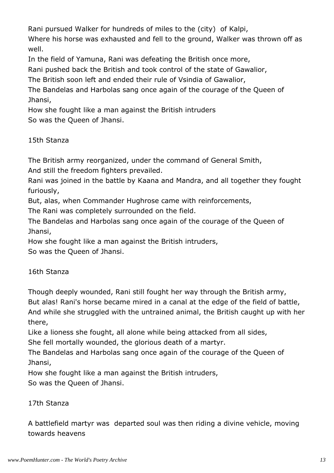Rani pursued Walker for hundreds of miles to the (city) of Kalpi,

Where his horse was exhausted and fell to the ground, Walker was thrown off as well.

In the field of Yamuna, Rani was defeating the British once more,

Rani pushed back the British and took control of the state of Gawalior,

The British soon left and ended their rule of Vsindia of Gawalior,

The Bandelas and Harbolas sang once again of the courage of the Queen of Jhansi,

How she fought like a man against the British intruders So was the Queen of Jhansi.

# 15th Stanza

The British army reorganized, under the command of General Smith,

And still the freedom fighters prevailed.

Rani was joined in the battle by Kaana and Mandra, and all together they fought furiously,

But, alas, when Commander Hughrose came with reinforcements,

The Rani was completely surrounded on the field.

The Bandelas and Harbolas sang once again of the courage of the Queen of Jhansi,

How she fought like a man against the British intruders,

So was the Queen of Jhansi.

# 16th Stanza

Though deeply wounded, Rani still fought her way through the British army, But alas! Rani's horse became mired in a canal at the edge of the field of battle, And while she struggled with the untrained animal, the British caught up with her there,

Like a lioness she fought, all alone while being attacked from all sides, She fell mortally wounded, the glorious death of a martyr.

The Bandelas and Harbolas sang once again of the courage of the Queen of Jhansi,

How she fought like a man against the British intruders,

So was the Queen of Jhansi.

# 17th Stanza

A battlefield martyr was departed soul was then riding a divine vehicle, moving towards heavens